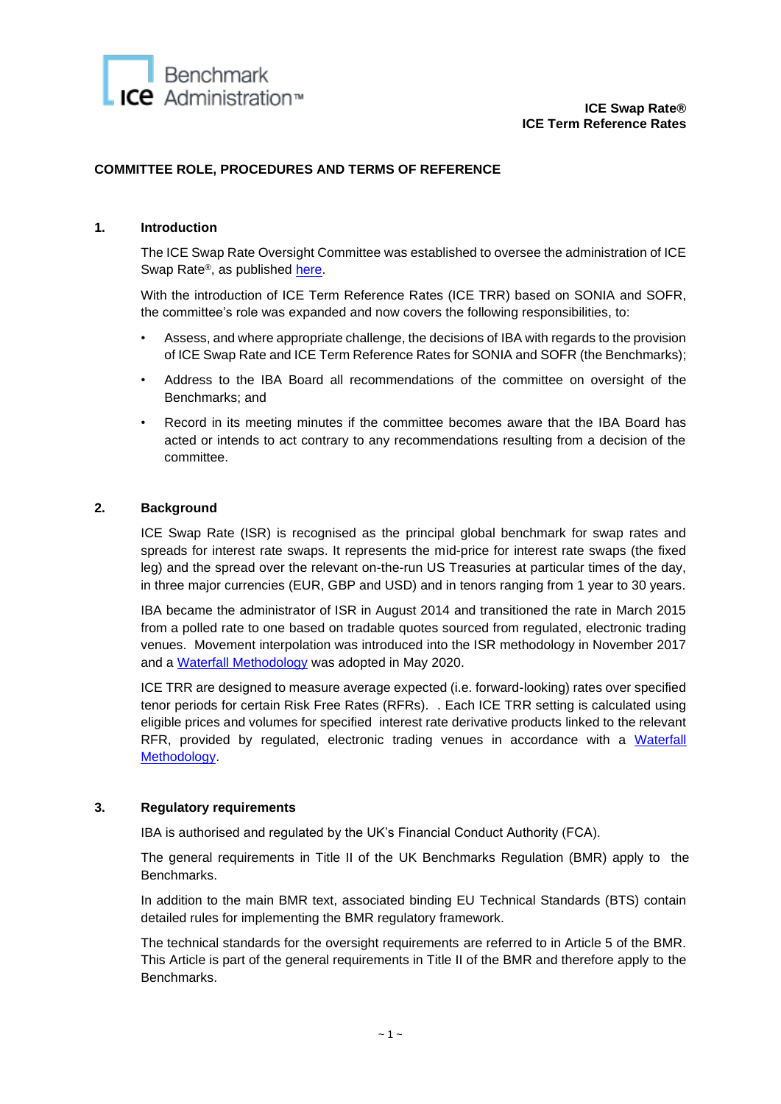

# **COMMITTEE ROLE, PROCEDURES AND TERMS OF REFERENCE**

# **1. Introduction**

The ICE Swap Rate Oversight Committee was established to oversee the administration of ICE Swap Rate®, as published [here.](https://www.theice.com/publicdocs/ICE_Swap_Rate_Oversight_Committee_Terms_of_Reference.pdf)

With the introduction of ICE Term Reference Rates (ICE TRR) based on SONIA and SOFR, the committee's role was expanded and now covers the following responsibilities, to:

- Assess, and where appropriate challenge, the decisions of IBA with regards to the provision of ICE Swap Rate and ICE Term Reference Rates for SONIA and SOFR (the Benchmarks);
- Address to the IBA Board all recommendations of the committee on oversight of the Benchmarks; and
- Record in its meeting minutes if the committee becomes aware that the IBA Board has acted or intends to act contrary to any recommendations resulting from a decision of the committee.

### **2. Background**

ICE Swap Rate (ISR) is recognised as the principal global benchmark for swap rates and spreads for interest rate swaps. It represents the mid-price for interest rate swaps (the fixed leg) and the spread over the relevant on-the-run US Treasuries at particular times of the day, in three major currencies (EUR, GBP and USD) and in tenors ranging from 1 year to 30 years.

IBA became the administrator of ISR in August 2014 and transitioned the rate in March 2015 from a polled rate to one based on tradable quotes sourced from regulated, electronic trading venues. Movement interpolation was introduced into the ISR methodology in November 2017 and a Waterfall [Methodology](https://www.theice.com/publicdocs/ICE_Swap_Rate_Calculation_Waterfall_Methodology.pdf) was adopted in May 2020.

ICE TRR are designed to measure average expected (i.e. forward-looking) rates over specified tenor periods for certain Risk Free Rates (RFRs). . Each ICE TRR setting is calculated using eligible prices and volumes for specified interest rate derivative products linked to the relevant RFR, provided by regulated, electronic trading venues in accordance with a [Waterfall](https://www.theice.com/publicdocs/ICE_TRR_Calculation_Methodology.pdf)  [Methodology.](https://www.theice.com/publicdocs/ICE_TRR_Calculation_Methodology.pdf)

#### **3. Regulatory requirements**

IBA is authorised and regulated by the UK's Financial Conduct Authority (FCA).

The general requirements in Title II of the UK Benchmarks Regulation (BMR) apply to the Benchmarks.

In addition to the main BMR text, associated binding EU Technical Standards (BTS) contain detailed rules for implementing the BMR regulatory framework.

The technical standards for the oversight requirements are referred to in Article 5 of the BMR. This Article is part of the general requirements in Title II of the BMR and therefore apply to the Benchmarks.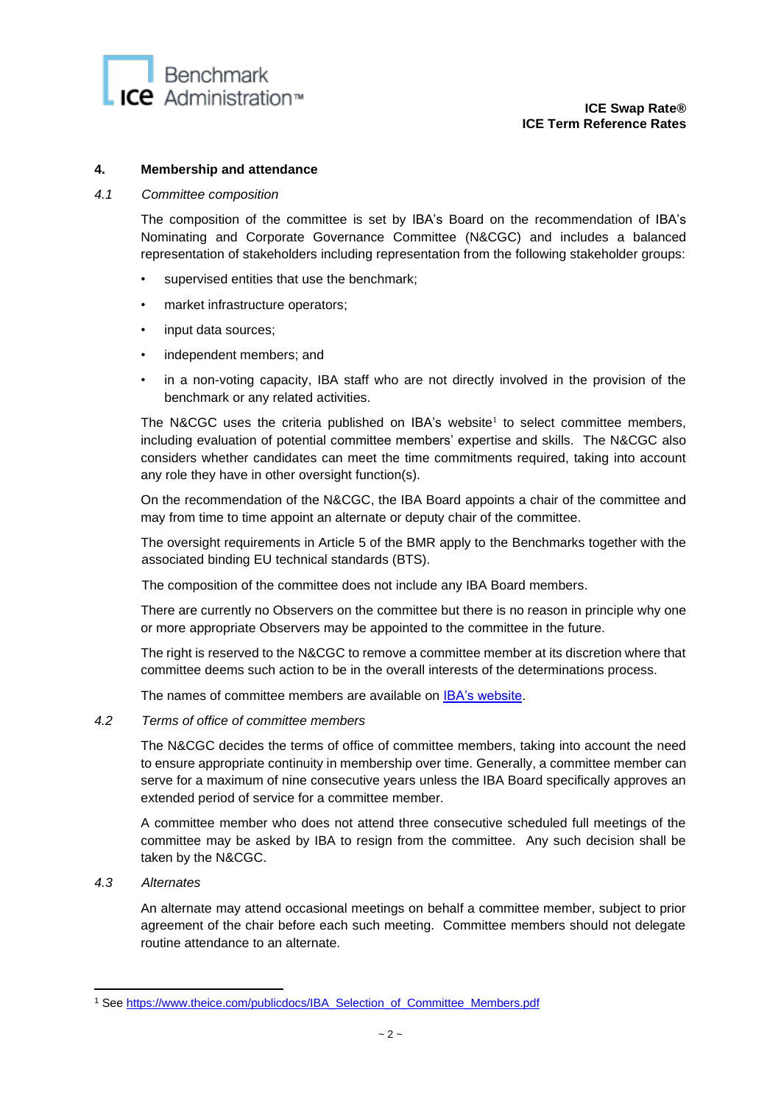

### **4. Membership and attendance**

#### *4.1 Committee composition*

The composition of the committee is set by IBA's Board on the recommendation of IBA's Nominating and Corporate Governance Committee (N&CGC) and includes a balanced representation of stakeholders including representation from the following stakeholder groups:

- supervised entities that use the benchmark;
- market infrastructure operators;
- input data sources;
- independent members; and
- in a non-voting capacity, IBA staff who are not directly involved in the provision of the benchmark or any related activities.

The N&CGC uses the criteria published on IBA's website<sup>1</sup> to select committee members, including evaluation of potential committee members' expertise and skills. The N&CGC also considers whether candidates can meet the time commitments required, taking into account any role they have in other oversight function(s).

On the recommendation of the N&CGC, the IBA Board appoints a chair of the committee and may from time to time appoint an alternate or deputy chair of the committee.

The oversight requirements in Article 5 of the BMR apply to the Benchmarks together with the associated binding EU technical standards (BTS).

The composition of the committee does not include any IBA Board members.

There are currently no Observers on the committee but there is no reason in principle why one or more appropriate Observers may be appointed to the committee in the future.

The right is reserved to the N&CGC to remove a committee member at its discretion where that committee deems such action to be in the overall interests of the determinations process.

The names of committee members are available on [IBA's website.](https://www.theice.com/iba)

### *4.2 Terms of office of committee members*

The N&CGC decides the terms of office of committee members, taking into account the need to ensure appropriate continuity in membership over time. Generally, a committee member can serve for a maximum of nine consecutive years unless the IBA Board specifically approves an extended period of service for a committee member.

A committee member who does not attend three consecutive scheduled full meetings of the committee may be asked by IBA to resign from the committee. Any such decision shall be taken by the N&CGC.

*4.3 Alternates*

An alternate may attend occasional meetings on behalf a committee member, subject to prior agreement of the chair before each such meeting. Committee members should not delegate routine attendance to an alternate.

<sup>&</sup>lt;sup>1</sup> See [https://www.theice.com/publicdocs/IBA\\_Selection\\_of\\_Committee\\_Members.pdf](https://www.theice.com/publicdocs/IBA_Selection_of_Committee_Members.pdf)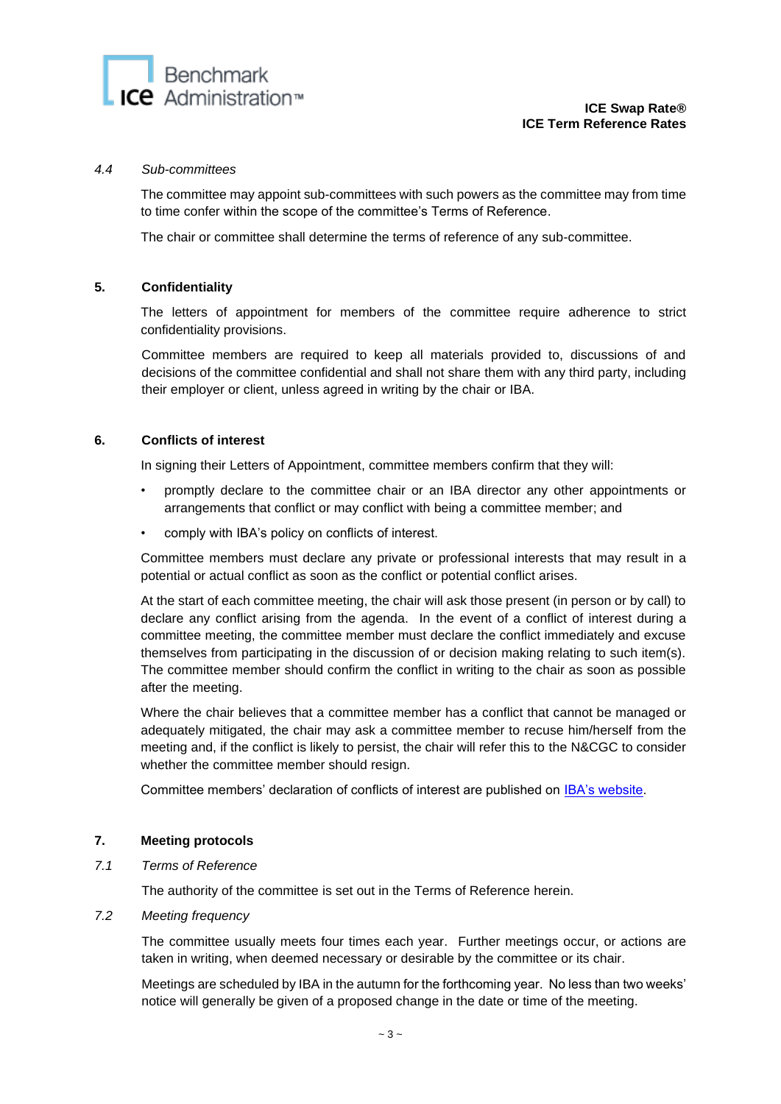### *4.4 Sub-committees*

The committee may appoint sub-committees with such powers as the committee may from time to time confer within the scope of the committee's Terms of Reference.

The chair or committee shall determine the terms of reference of any sub-committee.

### **5. Confidentiality**

The letters of appointment for members of the committee require adherence to strict confidentiality provisions.

Committee members are required to keep all materials provided to, discussions of and decisions of the committee confidential and shall not share them with any third party, including their employer or client, unless agreed in writing by the chair or IBA.

### **6. Conflicts of interest**

In signing their Letters of Appointment, committee members confirm that they will:

- promptly declare to the committee chair or an IBA director any other appointments or arrangements that conflict or may conflict with being a committee member; and
- comply with IBA's policy on conflicts of interest.

Committee members must declare any private or professional interests that may result in a potential or actual conflict as soon as the conflict or potential conflict arises.

At the start of each committee meeting, the chair will ask those present (in person or by call) to declare any conflict arising from the agenda. In the event of a conflict of interest during a committee meeting, the committee member must declare the conflict immediately and excuse themselves from participating in the discussion of or decision making relating to such item(s). The committee member should confirm the conflict in writing to the chair as soon as possible after the meeting.

Where the chair believes that a committee member has a conflict that cannot be managed or adequately mitigated, the chair may ask a committee member to recuse him/herself from the meeting and, if the conflict is likely to persist, the chair will refer this to the N&CGC to consider whether the committee member should resign.

Committee members' declaration of conflicts of interest are published on [IBA's website.](https://www.theice.com/iba)

# **7. Meeting protocols**

*7.1 Terms of Reference* 

The authority of the committee is set out in the Terms of Reference herein.

#### *7.2 Meeting frequency*

The committee usually meets four times each year. Further meetings occur, or actions are taken in writing, when deemed necessary or desirable by the committee or its chair.

Meetings are scheduled by IBA in the autumn for the forthcoming year. No less than two weeks' notice will generally be given of a proposed change in the date or time of the meeting.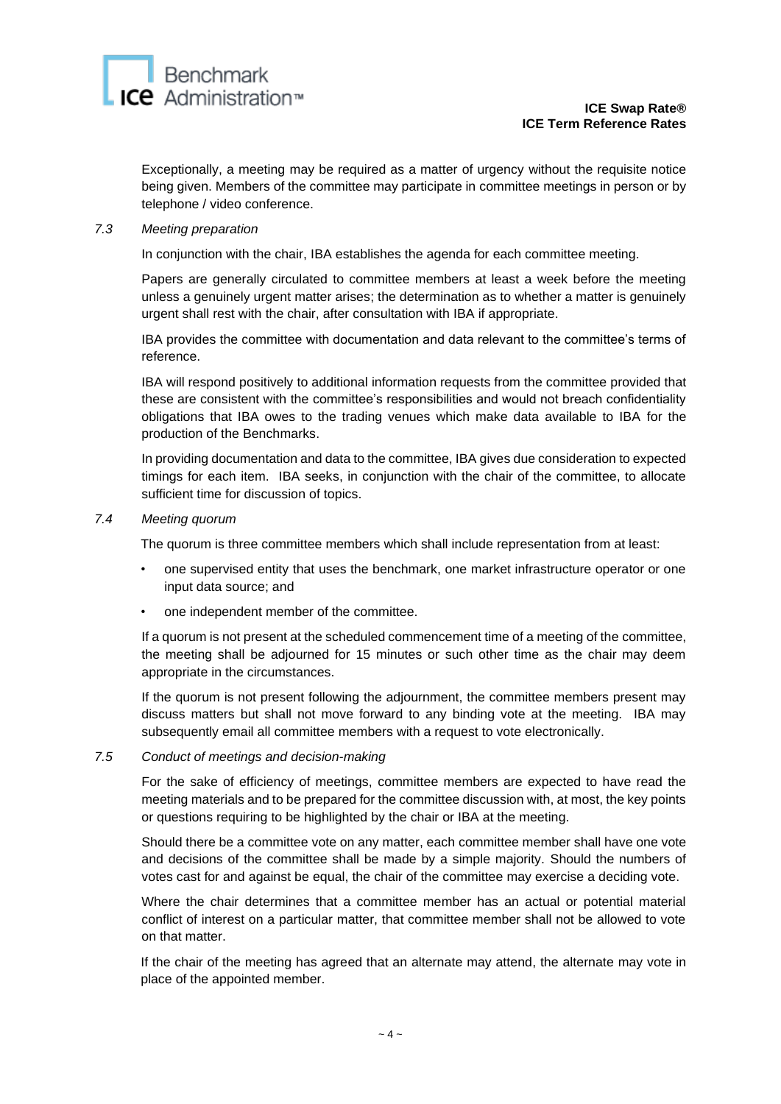Exceptionally, a meeting may be required as a matter of urgency without the requisite notice being given. Members of the committee may participate in committee meetings in person or by telephone / video conference.

# *7.3 Meeting preparation*

In conjunction with the chair, IBA establishes the agenda for each committee meeting.

Papers are generally circulated to committee members at least a week before the meeting unless a genuinely urgent matter arises; the determination as to whether a matter is genuinely urgent shall rest with the chair, after consultation with IBA if appropriate.

IBA provides the committee with documentation and data relevant to the committee's terms of reference.

IBA will respond positively to additional information requests from the committee provided that these are consistent with the committee's responsibilities and would not breach confidentiality obligations that IBA owes to the trading venues which make data available to IBA for the production of the Benchmarks.

In providing documentation and data to the committee, IBA gives due consideration to expected timings for each item. IBA seeks, in conjunction with the chair of the committee, to allocate sufficient time for discussion of topics.

### *7.4 Meeting quorum*

The quorum is three committee members which shall include representation from at least:

- one supervised entity that uses the benchmark, one market infrastructure operator or one input data source; and
- one independent member of the committee.

If a quorum is not present at the scheduled commencement time of a meeting of the committee, the meeting shall be adjourned for 15 minutes or such other time as the chair may deem appropriate in the circumstances.

If the quorum is not present following the adjournment, the committee members present may discuss matters but shall not move forward to any binding vote at the meeting. IBA may subsequently email all committee members with a request to vote electronically.

#### *7.5 Conduct of meetings and decision-making*

For the sake of efficiency of meetings, committee members are expected to have read the meeting materials and to be prepared for the committee discussion with, at most, the key points or questions requiring to be highlighted by the chair or IBA at the meeting.

Should there be a committee vote on any matter, each committee member shall have one vote and decisions of the committee shall be made by a simple majority. Should the numbers of votes cast for and against be equal, the chair of the committee may exercise a deciding vote.

Where the chair determines that a committee member has an actual or potential material conflict of interest on a particular matter, that committee member shall not be allowed to vote on that matter.

If the chair of the meeting has agreed that an alternate may attend, the alternate may vote in place of the appointed member.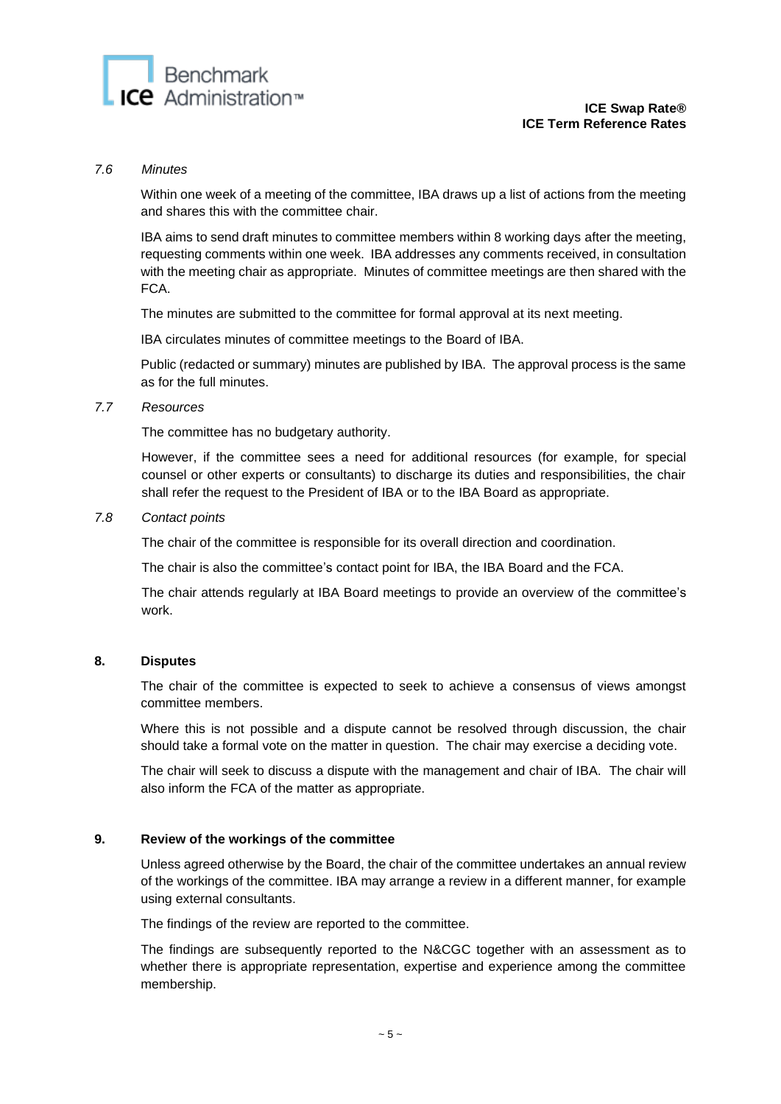

#### *7.6 Minutes*

Within one week of a meeting of the committee, IBA draws up a list of actions from the meeting and shares this with the committee chair.

IBA aims to send draft minutes to committee members within 8 working days after the meeting, requesting comments within one week. IBA addresses any comments received, in consultation with the meeting chair as appropriate. Minutes of committee meetings are then shared with the FCA.

The minutes are submitted to the committee for formal approval at its next meeting.

IBA circulates minutes of committee meetings to the Board of IBA.

Public (redacted or summary) minutes are published by IBA. The approval process is the same as for the full minutes.

### *7.7 Resources*

The committee has no budgetary authority.

However, if the committee sees a need for additional resources (for example, for special counsel or other experts or consultants) to discharge its duties and responsibilities, the chair shall refer the request to the President of IBA or to the IBA Board as appropriate.

### *7.8 Contact points*

The chair of the committee is responsible for its overall direction and coordination.

The chair is also the committee's contact point for IBA, the IBA Board and the FCA.

The chair attends regularly at IBA Board meetings to provide an overview of the committee's work.

### **8. Disputes**

The chair of the committee is expected to seek to achieve a consensus of views amongst committee members.

Where this is not possible and a dispute cannot be resolved through discussion, the chair should take a formal vote on the matter in question. The chair may exercise a deciding vote.

The chair will seek to discuss a dispute with the management and chair of IBA. The chair will also inform the FCA of the matter as appropriate.

# **9. Review of the workings of the committee**

Unless agreed otherwise by the Board, the chair of the committee undertakes an annual review of the workings of the committee. IBA may arrange a review in a different manner, for example using external consultants.

The findings of the review are reported to the committee.

The findings are subsequently reported to the N&CGC together with an assessment as to whether there is appropriate representation, expertise and experience among the committee membership.